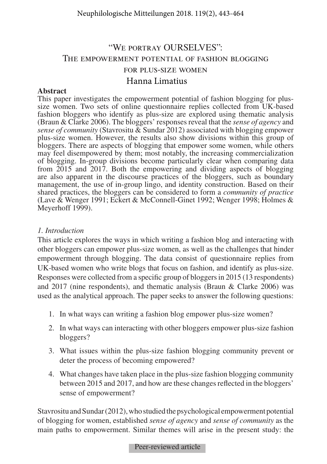# "We portray OURSELVES": The empowerment potential of fashion blogging FOR PLUS-SIZE WOMEN Hanna Limatius

### **Abstract**

This paper investigates the empowerment potential of fashion blogging for plussize women. Two sets of online questionnaire replies collected from UK-based fashion bloggers who identify as plus-size are explored using thematic analysis (Braun & Clarke 2006). The bloggers' responses reveal that the *sense of agency* and *sense of community* (Stavrositu & Sundar 2012) associated with blogging empower plus-size women. However, the results also show divisions within this group of bloggers. There are aspects of blogging that empower some women, while others may feel disempowered by them; most notably, the increasing commercialization of blogging. In-group divisions become particularly clear when comparing data from 2015 and 2017. Both the empowering and dividing aspects of blogging are also apparent in the discourse practices of the bloggers, such as boundary management, the use of in-group lingo, and identity construction. Based on their shared practices, the bloggers can be considered to form a *community of practice* (Lave & Wenger 1991; Eckert & McConnell-Ginet 1992; Wenger 1998; Holmes & Meyerhoff 1999).

### *1. Introduction*

This article explores the ways in which writing a fashion blog and interacting with other bloggers can empower plus-size women, as well as the challenges that hinder empowerment through blogging. The data consist of questionnaire replies from UK-based women who write blogs that focus on fashion, and identify as plus-size. Responses were collected from a specific group of bloggers in 2015 (13 respondents) and 2017 (nine respondents), and thematic analysis (Braun & Clarke 2006) was used as the analytical approach. The paper seeks to answer the following questions:

- 1. In what ways can writing a fashion blog empower plus-size women?
- 2. In what ways can interacting with other bloggers empower plus-size fashion bloggers?
- 3. What issues within the plus-size fashion blogging community prevent or deter the process of becoming empowered?
- 4. What changes have taken place in the plus-size fashion blogging community between 2015 and 2017, and how are these changes reflected in the bloggers' sense of empowerment?

Stavrositu and Sundar (2012), who studied the psychological empowerment potential of blogging for women, established *sense of agency* and *sense of community* as the main paths to empowerment. Similar themes will arise in the present study: the

Peer-reviewed article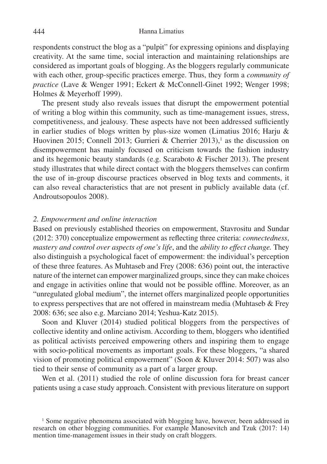respondents construct the blog as a "pulpit" for expressing opinions and displaying creativity. At the same time, social interaction and maintaining relationships are considered as important goals of blogging. As the bloggers regularly communicate with each other, group-specific practices emerge. Thus, they form a *community of practice* (Lave & Wenger 1991; Eckert & McConnell-Ginet 1992; Wenger 1998; Holmes & Meyerhoff 1999).

The present study also reveals issues that disrupt the empowerment potential of writing a blog within this community, such as time-management issues, stress, competitiveness, and jealousy. These aspects have not been addressed sufficiently in earlier studies of blogs written by plus-size women (Limatius 2016; Harju & Huovinen 2015; Connell 2013; Gurrieri & Cherrier 2013),<sup>1</sup> as the discussion on disempowerment has mainly focused on criticism towards the fashion industry and its hegemonic beauty standards (e.g. Scaraboto & Fischer 2013). The present study illustrates that while direct contact with the bloggers themselves can confirm the use of in-group discourse practices observed in blog texts and comments, it can also reveal characteristics that are not present in publicly available data (cf. Androutsopoulos 2008).

#### *2. Empowerment and online interaction*

Based on previously established theories on empowerment, Stavrositu and Sundar (2012: 370) conceptualize empowerment as reflecting three criteria: *connectedness*, *mastery and control over aspects of one's life*, and the *ability to effect change.* They also distinguish a psychological facet of empowerment: the individual's perception of these three features. As Muhtaseb and Frey (2008: 636) point out, the interactive nature of the internet can empower marginalized groups, since they can make choices and engage in activities online that would not be possible offline. Moreover, as an "unregulated global medium", the internet offers marginalized people opportunities to express perspectives that are not offered in mainstream media (Muhtaseb & Frey 2008: 636; see also e.g. Marciano 2014; Yeshua-Katz 2015).

Soon and Kluver (2014) studied political bloggers from the perspectives of collective identity and online activism. According to them, bloggers who identified as political activists perceived empowering others and inspiring them to engage with socio-political movements as important goals. For these bloggers, "a shared vision of promoting political empowerment" (Soon & Kluver 2014: 507) was also tied to their sense of community as a part of a larger group.

Wen et al. (2011) studied the role of online discussion fora for breast cancer patients using a case study approach. Consistent with previous literature on support

<sup>1</sup> Some negative phenomena associated with blogging have, however, been addressed in research on other blogging communities. For example Manosevitch and Tzuk (2017: 14) mention time-management issues in their study on craft bloggers.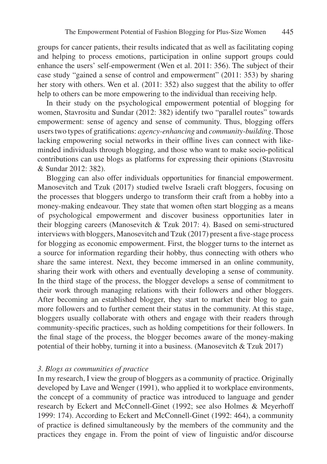groups for cancer patients, their results indicated that as well as facilitating coping and helping to process emotions, participation in online support groups could enhance the users' self-empowerment (Wen et al. 2011: 356). The subject of their case study "gained a sense of control and empowerment" (2011: 353) by sharing her story with others. Wen et al. (2011: 352) also suggest that the ability to offer help to others can be more empowering to the individual than receiving help.

In their study on the psychological empowerment potential of blogging for women, Stavrositu and Sundar (2012: 382) identify two "parallel routes" towards empowerment: sense of agency and sense of community. Thus, blogging offers users two types of gratifications: *agency-enhancing* and *community-building*. Those lacking empowering social networks in their offline lives can connect with likeminded individuals through blogging, and those who want to make socio-political contributions can use blogs as platforms for expressing their opinions (Stavrositu & Sundar 2012: 382).

Blogging can also offer individuals opportunities for financial empowerment. Manosevitch and Tzuk (2017) studied twelve Israeli craft bloggers, focusing on the processes that bloggers undergo to transform their craft from a hobby into a money-making endeavour. They state that women often start blogging as a means of psychological empowerment and discover business opportunities later in their blogging careers (Manosevitch & Tzuk 2017: 4). Based on semi-structured interviews with bloggers, Manosevitch and Tzuk (2017) present a five-stage process for blogging as economic empowerment. First, the blogger turns to the internet as a source for information regarding their hobby, thus connecting with others who share the same interest. Next, they become immersed in an online community, sharing their work with others and eventually developing a sense of community. In the third stage of the process, the blogger develops a sense of commitment to their work through managing relations with their followers and other bloggers. After becoming an established blogger, they start to market their blog to gain more followers and to further cement their status in the community. At this stage, bloggers usually collaborate with others and engage with their readers through community-specific practices, such as holding competitions for their followers. In the final stage of the process, the blogger becomes aware of the money-making potential of their hobby, turning it into a business. (Manosevitch & Tzuk 2017)

## *3. Blogs as communities of practice*

In my research, I view the group of bloggers as a community of practice. Originally developed by Lave and Wenger (1991), who applied it to workplace environments, the concept of a community of practice was introduced to language and gender research by Eckert and McConnell-Ginet (1992; see also Holmes & Meyerhoff 1999: 174). According to Eckert and McConnell-Ginet (1992: 464), a community of practice is defined simultaneously by the members of the community and the practices they engage in. From the point of view of linguistic and/or discourse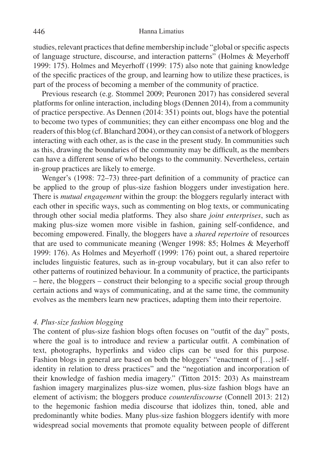studies, relevant practices that define membership include "global or specific aspects of language structure, discourse, and interaction patterns" (Holmes & Meyerhoff 1999: 175). Holmes and Meyerhoff (1999: 175) also note that gaining knowledge of the specific practices of the group, and learning how to utilize these practices, is part of the process of becoming a member of the community of practice.

Previous research (e.g. Stommel 2009; Peuronen 2017) has considered several platforms for online interaction, including blogs (Dennen 2014), from a community of practice perspective. As Dennen (2014: 351) points out, blogs have the potential to become two types of communities; they can either encompass one blog and the readers of this blog (cf. Blanchard 2004), or they can consist of a network of bloggers interacting with each other, as is the case in the present study. In communities such as this, drawing the boundaries of the community may be difficult, as the members can have a different sense of who belongs to the community. Nevertheless, certain in-group practices are likely to emerge.

Wenger's (1998: 72–73) three-part definition of a community of practice can be applied to the group of plus-size fashion bloggers under investigation here. There is *mutual engagement* within the group: the bloggers regularly interact with each other in specific ways, such as commenting on blog texts, or communicating through other social media platforms. They also share *joint enterprises*, such as making plus-size women more visible in fashion, gaining self-confidence, and becoming empowered. Finally, the bloggers have a *shared repertoire* of resources that are used to communicate meaning (Wenger 1998: 85; Holmes & Meyerhoff 1999: 176). As Holmes and Meyerhoff (1999: 176) point out, a shared repertoire includes linguistic features, such as in-group vocabulary, but it can also refer to other patterns of routinized behaviour. In a community of practice, the participants – here, the bloggers – construct their belonging to a specific social group through certain actions and ways of communicating, and at the same time, the community evolves as the members learn new practices, adapting them into their repertoire.

## *4. Plus-size fashion blogging*

The content of plus-size fashion blogs often focuses on "outfit of the day" posts, where the goal is to introduce and review a particular outfit. A combination of text, photographs, hyperlinks and video clips can be used for this purpose. Fashion blogs in general are based on both the bloggers' "enactment of [...] selfidentity in relation to dress practices" and the "negotiation and incorporation of their knowledge of fashion media imagery." (Titton 2015: 203) As mainstream fashion imagery marginalizes plus-size women, plus-size fashion blogs have an element of activism; the bloggers produce *counterdiscourse* (Connell 2013: 212) to the hegemonic fashion media discourse that idolizes thin, toned, able and predominantly white bodies. Many plus-size fashion bloggers identify with more widespread social movements that promote equality between people of different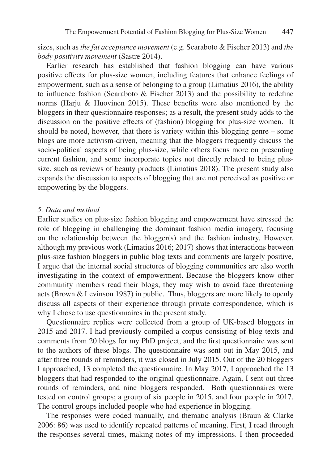sizes, such as *the fat acceptance movement* (e.g. Scaraboto & Fischer 2013) and *the body positivity movement* (Sastre 2014).

Earlier research has established that fashion blogging can have various positive effects for plus-size women, including features that enhance feelings of empowerment, such as a sense of belonging to a group (Limatius 2016), the ability to influence fashion (Scaraboto & Fischer 2013) and the possibility to redefine norms (Harju & Huovinen 2015). These benefits were also mentioned by the bloggers in their questionnaire responses; as a result, the present study adds to the discussion on the positive effects of (fashion) blogging for plus-size women. It should be noted, however, that there is variety within this blogging genre – some blogs are more activism-driven, meaning that the bloggers frequently discuss the socio-political aspects of being plus-size, while others focus more on presenting current fashion, and some incorporate topics not directly related to being plussize, such as reviews of beauty products (Limatius 2018). The present study also expands the discussion to aspects of blogging that are not perceived as positive or empowering by the bloggers.

#### *5. Data and method*

Earlier studies on plus-size fashion blogging and empowerment have stressed the role of blogging in challenging the dominant fashion media imagery, focusing on the relationship between the blogger(s) and the fashion industry. However, although my previous work (Limatius 2016; 2017) shows that interactions between plus-size fashion bloggers in public blog texts and comments are largely positive, I argue that the internal social structures of blogging communities are also worth investigating in the context of empowerment. Because the bloggers know other community members read their blogs, they may wish to avoid face threatening acts (Brown & Levinson 1987) in public. Thus, bloggers are more likely to openly discuss all aspects of their experience through private correspondence, which is why I chose to use questionnaires in the present study.

Questionnaire replies were collected from a group of UK-based bloggers in 2015 and 2017. I had previously compiled a corpus consisting of blog texts and comments from 20 blogs for my PhD project, and the first questionnaire was sent to the authors of these blogs. The questionnaire was sent out in May 2015, and after three rounds of reminders, it was closed in July 2015. Out of the 20 bloggers I approached, 13 completed the questionnaire. In May 2017, I approached the 13 bloggers that had responded to the original questionnaire. Again, I sent out three rounds of reminders, and nine bloggers responded. Both questionnaires were tested on control groups; a group of six people in 2015, and four people in 2017. The control groups included people who had experience in blogging.

The responses were coded manually, and thematic analysis (Braun & Clarke 2006: 86) was used to identify repeated patterns of meaning. First, I read through the responses several times, making notes of my impressions. I then proceeded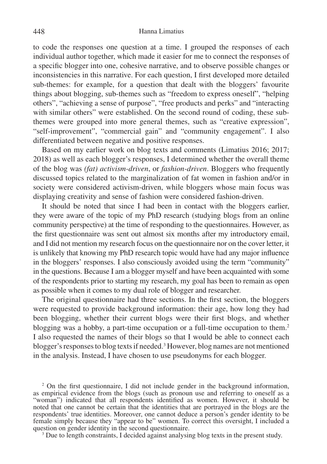to code the responses one question at a time. I grouped the responses of each individual author together, which made it easier for me to connect the responses of a specific blogger into one, cohesive narrative, and to observe possible changes or inconsistencies in this narrative. For each question, I first developed more detailed sub-themes: for example, for a question that dealt with the bloggers' favourite things about blogging, sub-themes such as "freedom to express oneself", "helping others", "achieving a sense of purpose", "free products and perks" and "interacting with similar others" were established. On the second round of coding, these subthemes were grouped into more general themes, such as "creative expression", "self-improvement", "commercial gain" and "community engagement". I also differentiated between negative and positive responses.

Based on my earlier work on blog texts and comments (Limatius 2016; 2017; 2018) as well as each blogger's responses, I determined whether the overall theme of the blog was *(fat) activism-driven*, or *fashion-driven*. Bloggers who frequently discussed topics related to the marginalization of fat women in fashion and/or in society were considered activism-driven, while bloggers whose main focus was displaying creativity and sense of fashion were considered fashion-driven.

It should be noted that since I had been in contact with the bloggers earlier, they were aware of the topic of my PhD research (studying blogs from an online community perspective) at the time of responding to the questionnaires. However, as the first questionnaire was sent out almost six months after my introductory email, and I did not mention my research focus on the questionnaire nor on the cover letter, it is unlikely that knowing my PhD research topic would have had any major influence in the bloggers' responses. I also consciously avoided using the term "community" in the questions. Because I am a blogger myself and have been acquainted with some of the respondents prior to starting my research, my goal has been to remain as open as possible when it comes to my dual role of blogger and researcher.

The original questionnaire had three sections. In the first section, the bloggers were requested to provide background information: their age, how long they had been blogging, whether their current blogs were their first blogs, and whether blogging was a hobby, a part-time occupation or a full-time occupation to them.<sup>2</sup> I also requested the names of their blogs so that I would be able to connect each blogger's responses to blog texts if needed.<sup>3</sup> However, blog names are not mentioned in the analysis. Instead, I have chosen to use pseudonyms for each blogger.

<sup>2</sup> On the first questionnaire, I did not include gender in the background information, as empirical evidence from the blogs (such as pronoun use and referring to oneself as a "woman") indicated that all respondents identified as women. However, it should be noted that one cannot be certain that the identities that are portrayed in the blogs are the respondents' true identities. Moreover, one cannot deduce a person's gender identity to be female simply because they "appear to be" women. To correct this oversight, I included a question on gender identity in the second questionnaire.

<sup>3</sup> Due to length constraints, I decided against analysing blog texts in the present study.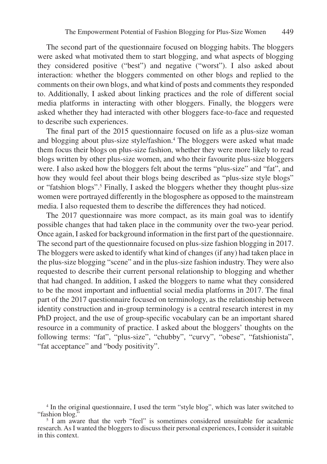The second part of the questionnaire focused on blogging habits. The bloggers were asked what motivated them to start blogging, and what aspects of blogging they considered positive ("best") and negative ("worst"). I also asked about interaction: whether the bloggers commented on other blogs and replied to the comments on their own blogs, and what kind of posts and comments they responded to. Additionally, I asked about linking practices and the role of different social media platforms in interacting with other bloggers. Finally, the bloggers were asked whether they had interacted with other bloggers face-to-face and requested to describe such experiences.

The final part of the 2015 questionnaire focused on life as a plus-size woman and blogging about plus-size style/fashion.<sup>4</sup> The bloggers were asked what made them focus their blogs on plus-size fashion, whether they were more likely to read blogs written by other plus-size women, and who their favourite plus-size bloggers were. I also asked how the bloggers felt about the terms "plus-size" and "fat", and how they would feel about their blogs being described as "plus-size style blogs" or "fatshion blogs".<sup>5</sup> Finally, I asked the bloggers whether they thought plus-size women were portrayed differently in the blogosphere as opposed to the mainstream media. I also requested them to describe the differences they had noticed.

The 2017 questionnaire was more compact, as its main goal was to identify possible changes that had taken place in the community over the two-year period. Once again, I asked for background information in the first part of the questionnaire. The second part of the questionnaire focused on plus-size fashion blogging in 2017. The bloggers were asked to identify what kind of changes (if any) had taken place in the plus-size blogging "scene" and in the plus-size fashion industry. They were also requested to describe their current personal relationship to blogging and whether that had changed. In addition, I asked the bloggers to name what they considered to be the most important and influential social media platforms in 2017. The final part of the 2017 questionnaire focused on terminology, as the relationship between identity construction and in-group terminology is a central research interest in my PhD project, and the use of group-specific vocabulary can be an important shared resource in a community of practice. I asked about the bloggers' thoughts on the following terms: "fat", "plus-size", "chubby", "curvy", "obese", "fatshionista", "fat acceptance" and "body positivity".

<sup>&</sup>lt;sup>4</sup> In the original questionnaire, I used the term "style blog", which was later switched to "fashion blog."

<sup>&</sup>lt;sup>5</sup> I am aware that the verb "feel" is sometimes considered unsuitable for academic research. As I wanted the bloggers to discuss their personal experiences, I consider it suitable in this context.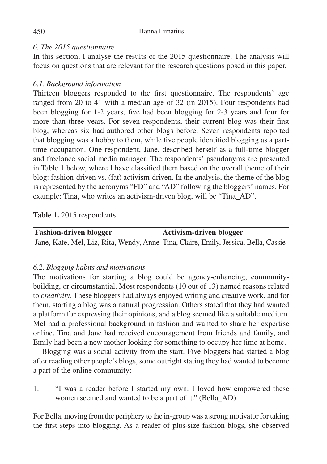## *6. The 2015 questionnaire*

In this section, I analyse the results of the 2015 questionnaire. The analysis will focus on questions that are relevant for the research questions posed in this paper.

## *6.1. Background information*

Thirteen bloggers responded to the first questionnaire. The respondents' age ranged from 20 to 41 with a median age of 32 (in 2015). Four respondents had been blogging for 1-2 years, five had been blogging for 2-3 years and four for more than three years. For seven respondents, their current blog was their first blog, whereas six had authored other blogs before. Seven respondents reported that blogging was a hobby to them, while five people identified blogging as a parttime occupation. One respondent, Jane, described herself as a full-time blogger and freelance social media manager. The respondents' pseudonyms are presented in Table 1 below, where I have classified them based on the overall theme of their blog: fashion-driven vs. (fat) activism-driven. In the analysis, the theme of the blog is represented by the acronyms "FD" and "AD" following the bloggers' names. For example: Tina, who writes an activism-driven blog, will be "Tina\_AD".

## **Table 1.** 2015 respondents

| <b>Fashion-driven blogger</b>                                                       | Activism-driven blogger |
|-------------------------------------------------------------------------------------|-------------------------|
| Jane, Kate, Mel, Liz, Rita, Wendy, Anne Tina, Claire, Emily, Jessica, Bella, Cassie |                         |

## *6.2. Blogging habits and motivations*

The motivations for starting a blog could be agency-enhancing, communitybuilding, or circumstantial. Most respondents (10 out of 13) named reasons related to *creativity*. These bloggers had always enjoyed writing and creative work, and for them, starting a blog was a natural progression. Others stated that they had wanted a platform for expressing their opinions, and a blog seemed like a suitable medium. Mel had a professional background in fashion and wanted to share her expertise online. Tina and Jane had received encouragement from friends and family, and Emily had been a new mother looking for something to occupy her time at home.

Blogging was a social activity from the start. Five bloggers had started a blog after reading other people's blogs, some outright stating they had wanted to become a part of the online community:

1. "I was a reader before I started my own. I loved how empowered these women seemed and wanted to be a part of it." (Bella\_AD)

For Bella, moving from the periphery to the in-group was a strong motivator for taking the first steps into blogging. As a reader of plus-size fashion blogs, she observed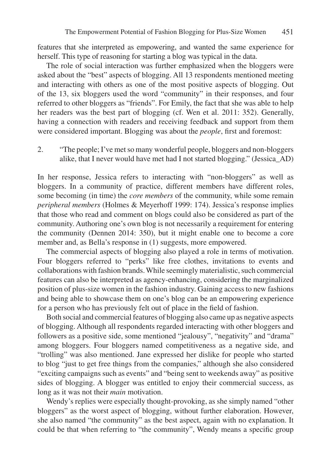features that she interpreted as empowering, and wanted the same experience for herself. This type of reasoning for starting a blog was typical in the data.

The role of social interaction was further emphasized when the bloggers were asked about the "best" aspects of blogging. All 13 respondents mentioned meeting and interacting with others as one of the most positive aspects of blogging. Out of the 13, six bloggers used the word "community" in their responses, and four referred to other bloggers as "friends". For Emily, the fact that she was able to help her readers was the best part of blogging (cf. Wen et al. 2011: 352). Generally, having a connection with readers and receiving feedback and support from them were considered important. Blogging was about the *people*, first and foremost:

2. "The people; I've met so many wonderful people, bloggers and non-bloggers alike, that I never would have met had I not started blogging." (Jessica\_AD)

In her response, Jessica refers to interacting with "non-bloggers" as well as bloggers. In a community of practice, different members have different roles, some becoming (in time) the *core members* of the community, while some remain *peripheral members* (Holmes & Meyerhoff 1999: 174). Jessica's response implies that those who read and comment on blogs could also be considered as part of the community. Authoring one's own blog is not necessarily a requirement for entering the community (Dennen 2014: 350), but it might enable one to become a core member and, as Bella's response in (1) suggests, more empowered.

The commercial aspects of blogging also played a role in terms of motivation. Four bloggers referred to "perks" like free clothes, invitations to events and collaborations with fashion brands. While seemingly materialistic, such commercial features can also be interpreted as agency-enhancing, considering the marginalized position of plus-size women in the fashion industry. Gaining access to new fashions and being able to showcase them on one's blog can be an empowering experience for a person who has previously felt out of place in the field of fashion.

Both social and commercial features of blogging also came up as negative aspects of blogging. Although all respondents regarded interacting with other bloggers and followers as a positive side, some mentioned "jealousy", "negativity" and "drama" among bloggers. Four bloggers named competitiveness as a negative side, and "trolling" was also mentioned. Jane expressed her dislike for people who started to blog "just to get free things from the companies," although she also considered "exciting campaigns such as events" and "being sent to weekends away" as positive sides of blogging. A blogger was entitled to enjoy their commercial success, as long as it was not their *main* motivation.

Wendy's replies were especially thought-provoking, as she simply named "other bloggers" as the worst aspect of blogging, without further elaboration. However, she also named "the community" as the best aspect, again with no explanation. It could be that when referring to "the community", Wendy means a specific group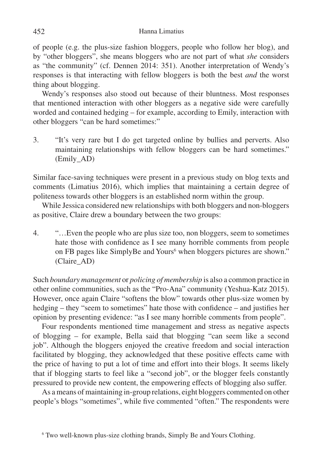of people (e.g. the plus-size fashion bloggers, people who follow her blog), and by "other bloggers", she means bloggers who are not part of what *she* considers as "the community" (cf. Dennen 2014: 351). Another interpretation of Wendy's responses is that interacting with fellow bloggers is both the best *and* the worst thing about blogging.

Wendy's responses also stood out because of their bluntness. Most responses that mentioned interaction with other bloggers as a negative side were carefully worded and contained hedging – for example, according to Emily, interaction with other bloggers "can be hard sometimes:"

3. "It's very rare but I do get targeted online by bullies and perverts. Also maintaining relationships with fellow bloggers can be hard sometimes." (Emily\_AD)

Similar face-saving techniques were present in a previous study on blog texts and comments (Limatius 2016), which implies that maintaining a certain degree of politeness towards other bloggers is an established norm within the group.

While Jessica considered new relationships with both bloggers and non-bloggers as positive, Claire drew a boundary between the two groups:

4. "…Even the people who are plus size too, non bloggers, seem to sometimes hate those with confidence as I see many horrible comments from people on FB pages like SimplyBe and Yours<sup>6</sup> when bloggers pictures are shown." (Claire\_AD)

Such *boundary management* or *policing of membership* is also a common practice in other online communities, such as the "Pro-Ana" community (Yeshua-Katz 2015). However, once again Claire "softens the blow" towards other plus-size women by hedging – they "seem to sometimes" hate those with confidence – and justifies her opinion by presenting evidence: "as I see many horrible comments from people".

Four respondents mentioned time management and stress as negative aspects of blogging – for example, Bella said that blogging "can seem like a second job". Although the bloggers enjoyed the creative freedom and social interaction facilitated by blogging, they acknowledged that these positive effects came with the price of having to put a lot of time and effort into their blogs. It seems likely that if blogging starts to feel like a "second job", or the blogger feels constantly pressured to provide new content, the empowering effects of blogging also suffer.

As a means of maintaining in-group relations, eight bloggers commented on other people's blogs "sometimes", while five commented "often." The respondents were

<sup>6</sup> Two well-known plus-size clothing brands, Simply Be and Yours Clothing.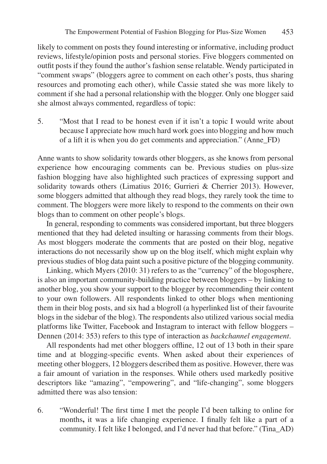likely to comment on posts they found interesting or informative, including product reviews, lifestyle/opinion posts and personal stories. Five bloggers commented on outfit posts if they found the author's fashion sense relatable. Wendy participated in "comment swaps" (bloggers agree to comment on each other's posts, thus sharing resources and promoting each other), while Cassie stated she was more likely to comment if she had a personal relationship with the blogger. Only one blogger said she almost always commented, regardless of topic:

5. "Most that I read to be honest even if it isn't a topic I would write about because I appreciate how much hard work goes into blogging and how much of a lift it is when you do get comments and appreciation." (Anne\_FD)

Anne wants to show solidarity towards other bloggers, as she knows from personal experience how encouraging comments can be. Previous studies on plus-size fashion blogging have also highlighted such practices of expressing support and solidarity towards others (Limatius 2016; Gurrieri & Cherrier 2013). However, some bloggers admitted that although they read blogs, they rarely took the time to comment. The bloggers were more likely to respond to the comments on their own blogs than to comment on other people's blogs.

In general, responding to comments was considered important, but three bloggers mentioned that they had deleted insulting or harassing comments from their blogs. As most bloggers moderate the comments that are posted on their blog, negative interactions do not necessarily show up on the blog itself, which might explain why previous studies of blog data paint such a positive picture of the blogging community.

Linking, which Myers (2010: 31) refers to as the "currency" of the blogosphere, is also an important community-building practice between bloggers – by linking to another blog, you show your support to the blogger by recommending their content to your own followers. All respondents linked to other blogs when mentioning them in their blog posts, and six had a blogroll (a hyperlinked list of their favourite blogs in the sidebar of the blog). The respondents also utilized various social media platforms like Twitter, Facebook and Instagram to interact with fellow bloggers – Dennen (2014: 353) refers to this type of interaction as *backchannel engagement*.

All respondents had met other bloggers offline, 12 out of 13 both in their spare time and at blogging-specific events. When asked about their experiences of meeting other bloggers, 12 bloggers described them as positive. However, there was a fair amount of variation in the responses. While others used markedly positive descriptors like "amazing", "empowering", and "life-changing", some bloggers admitted there was also tension:

6. "Wonderful! The first time I met the people I'd been talking to online for months**,** it was a life changing experience. I finally felt like a part of a community. I felt like I belonged, and I'd never had that before." (Tina\_AD)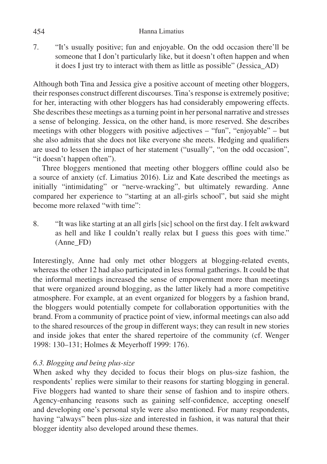7. "It's usually positive; fun and enjoyable. On the odd occasion there'll be someone that I don't particularly like, but it doesn't often happen and when it does I just try to interact with them as little as possible" (Jessica\_AD)

Although both Tina and Jessica give a positive account of meeting other bloggers, their responses construct different discourses. Tina's response is extremely positive; for her, interacting with other bloggers has had considerably empowering effects. She describes these meetings as a turning point in her personal narrative and stresses a sense of belonging. Jessica, on the other hand, is more reserved. She describes meetings with other bloggers with positive adjectives – "fun", "enjoyable" – but she also admits that she does not like everyone she meets. Hedging and qualifiers are used to lessen the impact of her statement ("usually", "on the odd occasion", "it doesn't happen often").

Three bloggers mentioned that meeting other bloggers offline could also be a source of anxiety (cf. Limatius 2016). Liz and Kate described the meetings as initially "intimidating" or "nerve-wracking", but ultimately rewarding. Anne compared her experience to "starting at an all-girls school", but said she might become more relaxed "with time":

8. "It was like starting at an all girls [sic] school on the first day. I felt awkward as hell and like I couldn't really relax but I guess this goes with time." (Anne\_FD)

Interestingly, Anne had only met other bloggers at blogging-related events, whereas the other 12 had also participated in less formal gatherings. It could be that the informal meetings increased the sense of empowerment more than meetings that were organized around blogging, as the latter likely had a more competitive atmosphere. For example, at an event organized for bloggers by a fashion brand, the bloggers would potentially compete for collaboration opportunities with the brand. From a community of practice point of view, informal meetings can also add to the shared resources of the group in different ways; they can result in new stories and inside jokes that enter the shared repertoire of the community (cf. Wenger 1998: 130–131; Holmes & Meyerhoff 1999: 176).

## *6.3. Blogging and being plus-size*

When asked why they decided to focus their blogs on plus-size fashion, the respondents' replies were similar to their reasons for starting blogging in general. Five bloggers had wanted to share their sense of fashion and to inspire others. Agency-enhancing reasons such as gaining self-confidence, accepting oneself and developing one's personal style were also mentioned. For many respondents, having "always" been plus-size and interested in fashion, it was natural that their blogger identity also developed around these themes.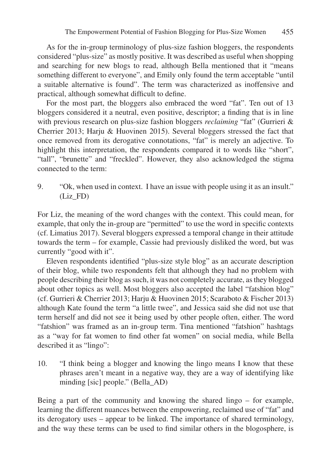As for the in-group terminology of plus-size fashion bloggers, the respondents considered "plus-size" as mostly positive. It was described as useful when shopping and searching for new blogs to read, although Bella mentioned that it "means something different to everyone", and Emily only found the term acceptable "until a suitable alternative is found". The term was characterized as inoffensive and practical, although somewhat difficult to define.

For the most part, the bloggers also embraced the word "fat". Ten out of 13 bloggers considered it a neutral, even positive, descriptor; a finding that is in line with previous research on plus-size fashion bloggers *reclaiming* "fat" (Gurrieri & Cherrier 2013; Harju & Huovinen 2015). Several bloggers stressed the fact that once removed from its derogative connotations, "fat" is merely an adjective. To highlight this interpretation, the respondents compared it to words like "short", "tall", "brunette" and "freckled". However, they also acknowledged the stigma connected to the term:

9. "Ok, when used in context. I have an issue with people using it as an insult." (Liz\_FD)

For Liz, the meaning of the word changes with the context. This could mean, for example, that only the in-group are "permitted" to use the word in specific contexts (cf. Limatius 2017). Several bloggers expressed a temporal change in their attitude towards the term – for example, Cassie had previously disliked the word, but was currently "good with it".

Eleven respondents identified "plus-size style blog" as an accurate description of their blog, while two respondents felt that although they had no problem with people describing their blog as such, it was not completely accurate, as they blogged about other topics as well. Most bloggers also accepted the label "fatshion blog" (cf. Gurrieri & Cherrier 2013; Harju & Huovinen 2015; Scaraboto & Fischer 2013) although Kate found the term "a little twee", and Jessica said she did not use that term herself and did not see it being used by other people often, either. The word "fatshion" was framed as an in-group term. Tina mentioned "fatshion" hashtags as a "way for fat women to find other fat women" on social media, while Bella described it as "lingo":

10. "I think being a blogger and knowing the lingo means I know that these phrases aren't meant in a negative way, they are a way of identifying like minding [sic] people." (Bella\_AD)

Being a part of the community and knowing the shared lingo – for example, learning the different nuances between the empowering, reclaimed use of "fat" and its derogatory uses – appear to be linked. The importance of shared terminology, and the way these terms can be used to find similar others in the blogosphere, is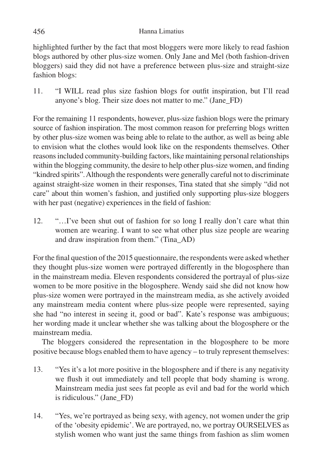highlighted further by the fact that most bloggers were more likely to read fashion blogs authored by other plus-size women. Only Jane and Mel (both fashion-driven bloggers) said they did not have a preference between plus-size and straight-size fashion blogs:

11. "I WILL read plus size fashion blogs for outfit inspiration, but I'll read anyone's blog. Their size does not matter to me." (Jane\_FD)

For the remaining 11 respondents, however, plus-size fashion blogs were the primary source of fashion inspiration. The most common reason for preferring blogs written by other plus-size women was being able to relate to the author, as well as being able to envision what the clothes would look like on the respondents themselves. Other reasons included community-building factors, like maintaining personal relationships within the blogging community, the desire to help other plus-size women, and finding "kindred spirits". Although the respondents were generally careful not to discriminate against straight-size women in their responses, Tina stated that she simply "did not care" about thin women's fashion, and justified only supporting plus-size bloggers with her past (negative) experiences in the field of fashion:

12. "…I've been shut out of fashion for so long I really don't care what thin women are wearing. I want to see what other plus size people are wearing and draw inspiration from them." (Tina\_AD)

For the final question of the 2015 questionnaire, the respondents were asked whether they thought plus-size women were portrayed differently in the blogosphere than in the mainstream media. Eleven respondents considered the portrayal of plus-size women to be more positive in the blogosphere. Wendy said she did not know how plus-size women were portrayed in the mainstream media, as she actively avoided any mainstream media content where plus-size people were represented, saying she had "no interest in seeing it, good or bad". Kate's response was ambiguous; her wording made it unclear whether she was talking about the blogosphere or the mainstream media.

The bloggers considered the representation in the blogosphere to be more positive because blogs enabled them to have agency – to truly represent themselves:

- 13. "Yes it's a lot more positive in the blogosphere and if there is any negativity we flush it out immediately and tell people that body shaming is wrong. Mainstream media just sees fat people as evil and bad for the world which is ridiculous." (Jane\_FD)
- 14. "Yes, we're portrayed as being sexy, with agency, not women under the grip of the 'obesity epidemic'. We are portrayed, no, we portray OURSELVES as stylish women who want just the same things from fashion as slim women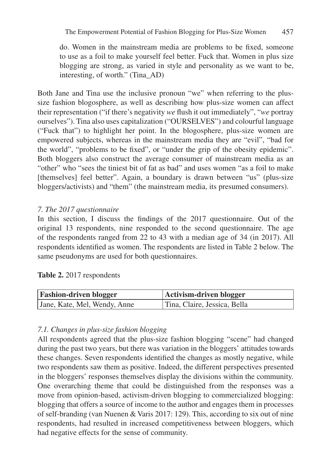do. Women in the mainstream media are problems to be fixed, someone to use as a foil to make yourself feel better. Fuck that. Women in plus size blogging are strong, as varied in style and personality as we want to be, interesting, of worth." (Tina\_AD)

Both Jane and Tina use the inclusive pronoun "we" when referring to the plussize fashion blogosphere, as well as describing how plus-size women can affect their representation ("if there's negativity *we* flush it out immediately", "*we* portray ourselves"). Tina also uses capitalization ("OURSELVES") and colourful language ("Fuck that") to highlight her point. In the blogosphere, plus-size women are empowered subjects, whereas in the mainstream media they are "evil", "bad for the world", "problems to be fixed", or "under the grip of the obesity epidemic". Both bloggers also construct the average consumer of mainstream media as an "other" who "sees the tiniest bit of fat as bad" and uses women "as a foil to make [themselves] feel better". Again, a boundary is drawn between "us" (plus-size bloggers/activists) and "them" (the mainstream media, its presumed consumers).

## *7. The 2017 questionnaire*

In this section, I discuss the findings of the 2017 questionnaire. Out of the original 13 respondents, nine responded to the second questionnaire. The age of the respondents ranged from 22 to 43 with a median age of 34 (in 2017). All respondents identified as women. The respondents are listed in Table 2 below. The same pseudonyms are used for both questionnaires.

|  |  |  | Table 2. 2017 respondents |
|--|--|--|---------------------------|
|--|--|--|---------------------------|

| <b>Fashion-driven blogger</b> | Activism-driven blogger      |
|-------------------------------|------------------------------|
| Jane, Kate, Mel, Wendy, Anne  | Tina, Claire, Jessica, Bella |

### *7.1. Changes in plus-size fashion blogging*

All respondents agreed that the plus-size fashion blogging "scene" had changed during the past two years, but there was variation in the bloggers' attitudes towards these changes. Seven respondents identified the changes as mostly negative, while two respondents saw them as positive. Indeed, the different perspectives presented in the bloggers' responses themselves display the divisions within the community. One overarching theme that could be distinguished from the responses was a move from opinion-based, activism-driven blogging to commercialized blogging: blogging that offers a source of income to the author and engages them in processes of self-branding (van Nuenen & Varis 2017: 129). This, according to six out of nine respondents, had resulted in increased competitiveness between bloggers, which had negative effects for the sense of community.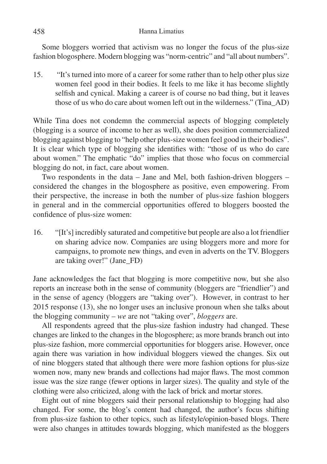Some bloggers worried that activism was no longer the focus of the plus-size fashion blogosphere. Modern blogging was "norm-centric" and "all about numbers".

15. "It's turned into more of a career for some rather than to help other plus size women feel good in their bodies. It feels to me like it has become slightly selfish and cynical. Making a career is of course no bad thing, but it leaves those of us who do care about women left out in the wilderness." (Tina\_AD)

While Tina does not condemn the commercial aspects of blogging completely (blogging is a source of income to her as well), she does position commercialized blogging against blogging to "help other plus-size women feel good in their bodies". It is clear which type of blogging she identifies with: "those of us who do care about women." The emphatic "do" implies that those who focus on commercial blogging do not, in fact, care about women.

Two respondents in the data – Jane and Mel, both fashion-driven bloggers – considered the changes in the blogosphere as positive, even empowering. From their perspective, the increase in both the number of plus-size fashion bloggers in general and in the commercial opportunities offered to bloggers boosted the confidence of plus-size women:

16. "[It's] incredibly saturated and competitive but people are also a lot friendlier on sharing advice now. Companies are using bloggers more and more for campaigns, to promote new things, and even in adverts on the TV. Bloggers are taking over!" (Jane\_FD)

Jane acknowledges the fact that blogging is more competitive now, but she also reports an increase both in the sense of community (bloggers are "friendlier") and in the sense of agency (bloggers are "taking over"). However, in contrast to her 2015 response (13), she no longer uses an inclusive pronoun when she talks about the blogging community – *we* are not "taking over", *bloggers* are.

All respondents agreed that the plus-size fashion industry had changed. These changes are linked to the changes in the blogosphere; as more brands branch out into plus-size fashion, more commercial opportunities for bloggers arise. However, once again there was variation in how individual bloggers viewed the changes. Six out of nine bloggers stated that although there were more fashion options for plus-size women now, many new brands and collections had major flaws. The most common issue was the size range (fewer options in larger sizes). The quality and style of the clothing were also criticized, along with the lack of brick and mortar stores.

Eight out of nine bloggers said their personal relationship to blogging had also changed. For some, the blog's content had changed, the author's focus shifting from plus-size fashion to other topics, such as lifestyle/opinion-based blogs. There were also changes in attitudes towards blogging, which manifested as the bloggers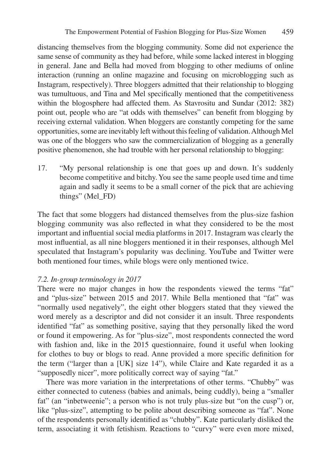distancing themselves from the blogging community. Some did not experience the same sense of community as they had before, while some lacked interest in blogging in general. Jane and Bella had moved from blogging to other mediums of online interaction (running an online magazine and focusing on microblogging such as Instagram, respectively). Three bloggers admitted that their relationship to blogging was tumultuous, and Tina and Mel specifically mentioned that the competitiveness within the blogosphere had affected them. As Stavrositu and Sundar (2012: 382) point out, people who are "at odds with themselves" can benefit from blogging by receiving external validation. When bloggers are constantly competing for the same opportunities, some are inevitably left without this feeling of validation. Although Mel was one of the bloggers who saw the commercialization of blogging as a generally positive phenomenon, she had trouble with her personal relationship to blogging:

17. "My personal relationship is one that goes up and down. It's suddenly become competitive and bitchy. You see the same people used time and time again and sadly it seems to be a small corner of the pick that are achieving things" (Mel\_FD)

The fact that some bloggers had distanced themselves from the plus-size fashion blogging community was also reflected in what they considered to be the most important and influential social media platforms in 2017. Instagram was clearly the most influential, as all nine bloggers mentioned it in their responses, although Mel speculated that Instagram's popularity was declining. YouTube and Twitter were both mentioned four times, while blogs were only mentioned twice.

### *7.2. In-group terminology in 2017*

There were no major changes in how the respondents viewed the terms "fat" and "plus-size" between 2015 and 2017. While Bella mentioned that "fat" was "normally used negatively", the eight other bloggers stated that they viewed the word merely as a descriptor and did not consider it an insult. Three respondents identified "fat" as something positive, saying that they personally liked the word or found it empowering. As for "plus-size", most respondents connected the word with fashion and, like in the 2015 questionnaire, found it useful when looking for clothes to buy or blogs to read. Anne provided a more specific definition for the term ("larger than a [UK] size 14"), while Claire and Kate regarded it as a "supposedly nicer", more politically correct way of saying "fat."

There was more variation in the interpretations of other terms. "Chubby" was either connected to cuteness (babies and animals, being cuddly), being a "smaller fat" (an "inbetweenie"; a person who is not truly plus-size but "on the cusp") or, like "plus-size", attempting to be polite about describing someone as "fat". None of the respondents personally identified as "chubby". Kate particularly disliked the term, associating it with fetishism. Reactions to "curvy" were even more mixed,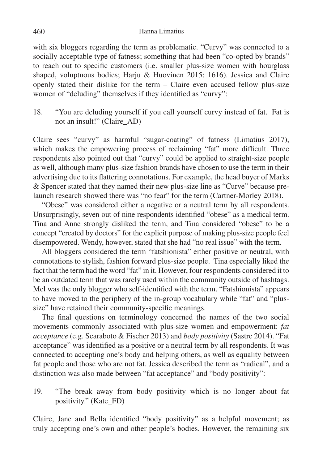with six bloggers regarding the term as problematic. "Curvy" was connected to a socially acceptable type of fatness; something that had been "co-opted by brands" to reach out to specific customers (i.e. smaller plus-size women with hourglass shaped, voluptuous bodies; Harju & Huovinen 2015: 1616). Jessica and Claire openly stated their dislike for the term – Claire even accused fellow plus-size women of "deluding" themselves if they identified as "curvy":

18. "You are deluding yourself if you call yourself curvy instead of fat. Fat is not an insult!" (Claire\_AD)

Claire sees "curvy" as harmful "sugar-coating" of fatness (Limatius 2017), which makes the empowering process of reclaiming "fat" more difficult. Three respondents also pointed out that "curvy" could be applied to straight-size people as well, although many plus-size fashion brands have chosen to use the term in their advertising due to its flattering connotations. For example, the head buyer of Marks & Spencer stated that they named their new plus-size line as "Curve" because prelaunch research showed there was "no fear" for the term (Cartner-Morley 2018).

"Obese" was considered either a negative or a neutral term by all respondents. Unsurprisingly, seven out of nine respondents identified "obese" as a medical term. Tina and Anne strongly disliked the term, and Tina considered "obese" to be a concept "created by doctors" for the explicit purpose of making plus-size people feel disempowered. Wendy, however, stated that she had "no real issue" with the term.

All bloggers considered the term "fatshionista" either positive or neutral, with connotations to stylish, fashion forward plus-size people. Tina especially liked the fact that the term had the word "fat" in it. However, four respondents considered it to be an outdated term that was rarely used within the community outside of hashtags. Mel was the only blogger who self-identified with the term. "Fatshionista" appears to have moved to the periphery of the in-group vocabulary while "fat" and "plussize" have retained their community-specific meanings.

The final questions on terminology concerned the names of the two social movements commonly associated with plus-size women and empowerment: *fat acceptance* (e.g. Scaraboto & Fischer 2013) and *body positivity* (Sastre 2014). "Fat acceptance" was identified as a positive or a neutral term by all respondents. It was connected to accepting one's body and helping others, as well as equality between fat people and those who are not fat. Jessica described the term as "radical", and a distinction was also made between "fat acceptance" and "body positivity":

19. "The break away from body positivity which is no longer about fat positivity." (Kate\_FD)

Claire, Jane and Bella identified "body positivity" as a helpful movement; as truly accepting one's own and other people's bodies. However, the remaining six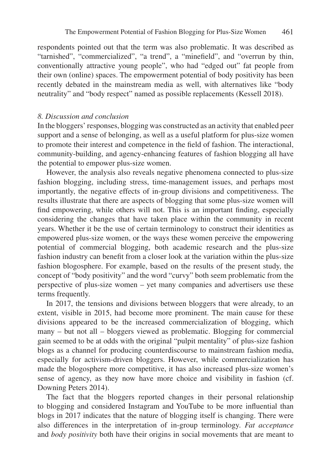respondents pointed out that the term was also problematic. It was described as "tarnished", "commercialized", "a trend", a "minefield", and "overrun by thin, conventionally attractive young people", who had "edged out" fat people from their own (online) spaces. The empowerment potential of body positivity has been recently debated in the mainstream media as well, with alternatives like "body neutrality" and "body respect" named as possible replacements (Kessell 2018).

#### *8. Discussion and conclusion*

In the bloggers' responses, blogging was constructed as an activity that enabled peer support and a sense of belonging, as well as a useful platform for plus-size women to promote their interest and competence in the field of fashion. The interactional, community-building, and agency-enhancing features of fashion blogging all have the potential to empower plus-size women.

However, the analysis also reveals negative phenomena connected to plus-size fashion blogging, including stress, time-management issues, and perhaps most importantly, the negative effects of in-group divisions and competitiveness. The results illustrate that there are aspects of blogging that some plus-size women will find empowering, while others will not. This is an important finding, especially considering the changes that have taken place within the community in recent years. Whether it be the use of certain terminology to construct their identities as empowered plus-size women, or the ways these women perceive the empowering potential of commercial blogging, both academic research and the plus-size fashion industry can benefit from a closer look at the variation within the plus-size fashion blogosphere. For example, based on the results of the present study, the concept of "body positivity" and the word "curvy" both seem problematic from the perspective of plus-size women – yet many companies and advertisers use these terms frequently.

In 2017, the tensions and divisions between bloggers that were already, to an extent, visible in 2015, had become more prominent. The main cause for these divisions appeared to be the increased commercialization of blogging, which many – but not all – bloggers viewed as problematic. Blogging for commercial gain seemed to be at odds with the original "pulpit mentality" of plus-size fashion blogs as a channel for producing counterdiscourse to mainstream fashion media, especially for activism-driven bloggers. However, while commercialization has made the blogosphere more competitive, it has also increased plus-size women's sense of agency, as they now have more choice and visibility in fashion (cf. Downing Peters 2014).

The fact that the bloggers reported changes in their personal relationship to blogging and considered Instagram and YouTube to be more influential than blogs in 2017 indicates that the nature of blogging itself is changing. There were also differences in the interpretation of in-group terminology. *Fat acceptance*  and *body positivity* both have their origins in social movements that are meant to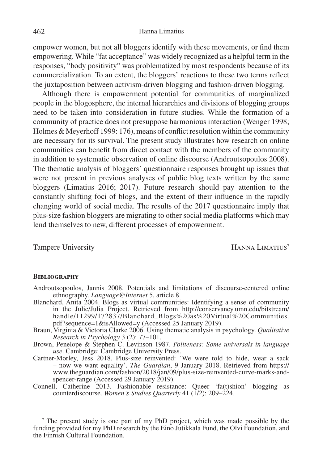empower women, but not all bloggers identify with these movements, or find them empowering. While "fat acceptance" was widely recognized as a helpful term in the responses, "body positivity" was problematized by most respondents because of its commercialization. To an extent, the bloggers' reactions to these two terms reflect the juxtaposition between activism-driven blogging and fashion-driven blogging.

Although there is empowerment potential for communities of marginalized people in the blogosphere, the internal hierarchies and divisions of blogging groups need to be taken into consideration in future studies. While the formation of a community of practice does not presuppose harmonious interaction (Wenger 1998; Holmes & Meyerhoff 1999: 176), means of conflict resolution within the community are necessary for its survival. The present study illustrates how research on online communities can benefit from direct contact with the members of the community in addition to systematic observation of online discourse (Androutsopoulos 2008). The thematic analysis of bloggers' questionnaire responses brought up issues that were not present in previous analyses of public blog texts written by the same bloggers (Limatius 2016; 2017). Future research should pay attention to the constantly shifting foci of blogs, and the extent of their influence in the rapidly changing world of social media. The results of the 2017 questionnaire imply that plus-size fashion bloggers are migrating to other social media platforms which may lend themselves to new, different processes of empowerment.

Tampere University HANNA LIMATIUS<sup>7</sup>

#### **Bibliography**

- Androutsopoulos, Jannis 2008. Potentials and limitations of discourse-centered online ethnography. *Language@Internet* 5, article 8.
- Blanchard, Anita 2004. Blogs as virtual communities: Identifying a sense of community in the Julie/Julia Project. Retrieved from http://conservancy.umn.edu/bitstream/ handle/11299/172837/Blanchard\_Blogs%20as%20Virtual%20Communities. pdf?sequence=1&isAllowed=y (Accessed 25 January 2019).
- Braun, Virginia & Victoria Clarke 2006. Using thematic analysis in psychology. *Qualitative Research in Psychology* 3 (2): 77–101.
- Brown, Penelope & Stephen C. Levinson 1987. *Politeness: Some universals in language use*. Cambridge: Cambridge University Press.
- Cartner-Morley, Jess 2018. Plus-size reinvented: 'We were told to hide, wear a sack – now we want equality'. *The Guardian*, 9 January 2018. Retrieved from https:// www.theguardian.com/fashion/2018/jan/09/plus-size-reinvented-curve-marks-andspencer-range (Accessed 29 January 2019).
- Connell, Catherine 2013. Fashionable resistance: Queer 'fa(t)shion' blogging as counterdiscourse. *Women's Studies Quarterly* 41 (1/2): 209–224.

7 The present study is one part of my PhD project, which was made possible by the funding provided for my PhD research by the Eino Jutikkala Fund, the Olvi Foundation, and the Finnish Cultural Foundation.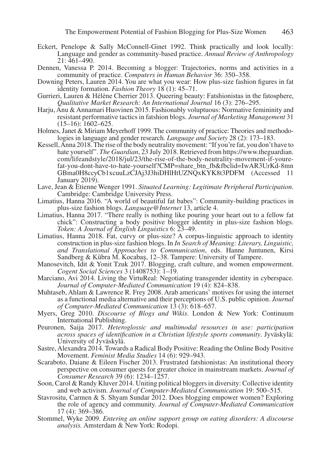- Eckert, Penelope & Sally McConnell-Ginet 1992. Think practically and look locally: Language and gender as community-based practice. *Annual Review of Anthropology*  $21: \overline{461-490}$ .
- Dennen, Vanessa P. 2014. Becoming a blogger: Trajectories, norms and activities in a community of practice. *Computers in Human Behavior* 36: 350–358.
- Downing Peters, Lauren 2014. You are what you wear: How plus-size fashion figures in fat identity formation. *Fashion Theory* 18 (1): 45–71.
- Gurrieri, Lauren & Hélène Cherrier 2013. Queering beauty: Fatshionistas in the fatosphere, *Qualitative Market Research: An International Journal* 16 (3): 276–295.
- Harju, Anu & Annamari Huovinen 2015. Fashionably voluptuous: Normative femininity and resistant performative tactics in fatshion blogs. *Journal of Marketing Management* 31  $(15-16)$ :  $1602-625$ .
- Holmes, Janet & Miriam Meyerhoff 1999. The community of practice: Theories and methodologies in language and gender research. *Language and Society* 28 (2): 173–183.
- Kessell, Anna 2018. The rise of the body neutrality movement: "If you're fat, you don't have to hate yourself". *The Guardian*, 23 July 2018. Retrieved from https://www.theguardian. com/lifeandstyle/2018/jul/23/the-rise-of-the-body-neutrality-movement-if-yourefat-you-dont-have-to-hate-yourself?CMP=share\_btn\_fb&fbclid=IwAR3UrKd-8mn GBma0H8ccyCb1xcuuLzCJAj3J3hiDHlHtUZNQxKYK8t3PDFM (Accessed 11 January 2019).
- Lave, Jean & Etienne Wenger 1991. *Situated Learning: Legitimate Peripheral Participation*. Cambridge: Cambridge University Press.
- Limatius, Hanna 2016. "A world of beautiful fat babes": Community-building practices in plus-size fashion blogs. *Language@Internet* 13, article 4.
- Limatius, Hanna 2017. "There really is nothing like pouring your heart out to a fellow fat chick": Constructing a body positive blogger identity in plus-size fashion blogs. *Token: A Journal of English Linguistics* 6: 23–49.
- Limatius, Hanna 2018. Fat, curvy or plus-size? A corpus-linguistic approach to identity construction in plus-size fashion blogs. In *In Search of Meaning: Literary, Linguistic, and Translational Approaches to Communication*, eds. Hanne Juntunen, Kirsi Sandberg & Kübra M. Kocabaş, 12–38. Tampere: University of Tampere.
- Manosevitch, Idit & Yonit Tzuk 2017. Blogging, craft culture, and women empowerment. *Cogent Social Sciences* 3 (1408753): 1–19.
- Marciano, Avi 2014. Living the VirtuReal: Negotiating transgender identity in cyberspace. *Journal of Computer-Mediated Communication* 19 (4): 824–838.
- Muhtaseb, Ahlam & Lawrence R. Frey 2008. Arab americans' motives for using the internet as a functional media alternative and their perceptions of U.S. public opinion. *Journal of Computer-Mediated Communication* 13 (3): 618–657.
- Myers, Greg 2010. *Discourse of Blogs and Wikis*. London & New York: Continuum International Publishing.
- Peuronen, Saija 2017. *Heteroglossic and multimodal resources in use: participation across spaces of identification in a Christian lifestyle sports community*. Jyväskylä: University of Jyväskylä.
- Sastre, Alexandra 2014. Towards a Radical Body Positive: Reading the Online Body Positive Movement. *Feminist Media Studies* 14 (6): 929–943.
- Scaraboto, Daiane & Eileen Fischer 2013. Frustrated fatshionistas: An institutional theory perspective on consumer quests for greater choice in mainstream markets. *Journal of Consumer Research* 39 (6): 1234–1257.
- Soon, Carol & Randy Kluver 2014. Uniting political bloggers in diversity: Collective identity and web activism. *Journal of Computer-Mediated Communication* 19: 500–515.
- Stavrositu, Carmen & S. Shyam Sundar 2012. Does blogging empower women? Exploring the role of agency and community. *Journal of Computer-Mediated Communication* 17 (4): 369–386.
- Stommel, Wyke 2009. *Entering an online support group on eating disorders: A discourse analysis.* Amsterdam & New York: Rodopi.